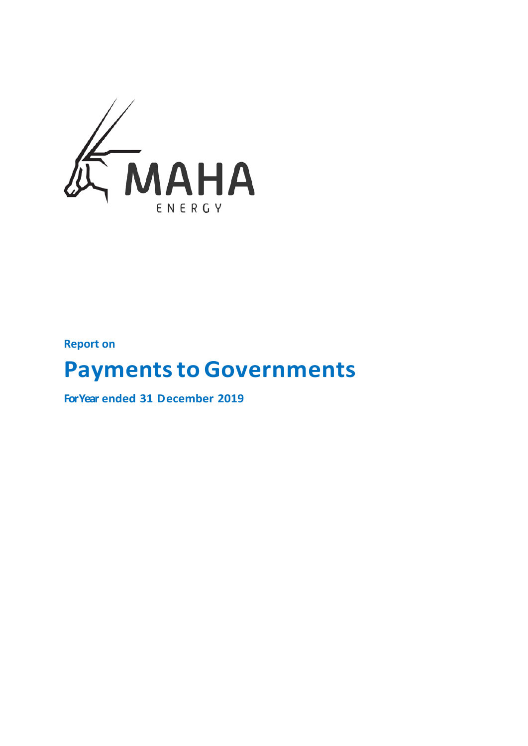

**Report on**

# **Payments to Governments**

**For Year ended 31 December 2019**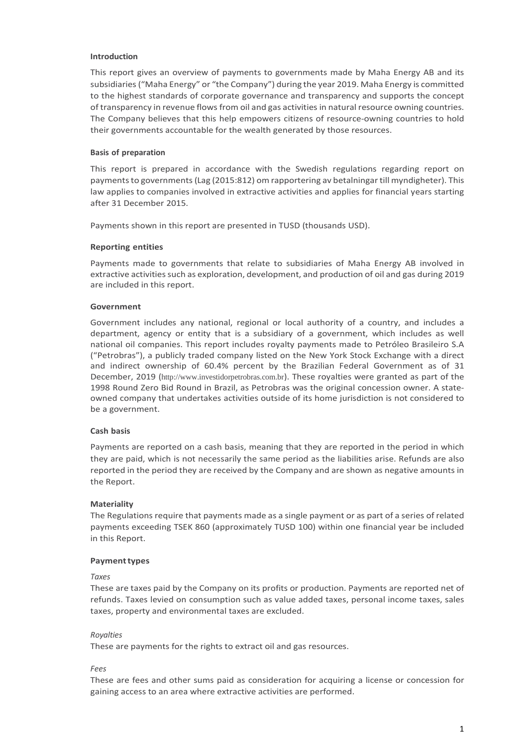## **Introduction**

This report gives an overview of payments to governments made by Maha Energy AB and its subsidiaries("Maha Energy" or "the Company") during the year 2019. Maha Energy is committed to the highest standards of corporate governance and transparency and supports the concept of transparency in revenue flows from oil and gas activities in natural resource owning countries. The Company believes that this help empowers citizens of resource-owning countries to hold their governments accountable for the wealth generated by those resources.

## **Basis of preparation**

This report is prepared in accordance with the Swedish regulations regarding report on payments to governments (Lag (2015:812) om rapportering av betalningar till myndigheter). This law applies to companies involved in extractive activities and applies for financial years starting after 31 December 2015.

Payments shown in this report are presented in TUSD (thousands USD).

## **Reporting entities**

Payments made to governments that relate to subsidiaries of Maha Energy AB involved in extractive activities such as exploration, development, and production of oil and gas during 2019 are included in this report.

# **Government**

Government includes any national, regional or local authority of a country, and includes a department, agency or entity that is a subsidiary of a government, which includes as well national oil companies. This report includes royalty payments made to Petróleo Brasileiro S.A ("Petrobras"), a publicly traded company listed on the New York Stock Exchange with a direct and indirect ownership of 60.4% percent by the Brazilian Federal Government as of 31 December, 2019 ([http://www.investidorpetrobras.com.br](http://www.investidorpetrobras.com.br/)). These royalties were granted as part of the 1998 Round Zero Bid Round in Brazil, as Petrobras was the original concession owner. A stateowned company that undertakes activities outside of its home jurisdiction is not considered to be a government.

#### **Cash basis**

Payments are reported on a cash basis, meaning that they are reported in the period in which they are paid, which is not necessarily the same period as the liabilities arise. Refunds are also reported in the period they are received by the Company and are shown as negative amounts in the Report.

#### **Materiality**

The Regulations require that payments made as a single payment or as part of a series of related payments exceeding TSEK 860 (approximately TUSD 100) within one financial year be included in this Report.

#### **Paymenttypes**

#### *Taxes*

These are taxes paid by the Company on its profits or production. Payments are reported net of refunds. Taxes levied on consumption such as value added taxes, personal income taxes, sales taxes, property and environmental taxes are excluded.

# *Royalties*

These are payments for the rights to extract oil and gas resources.

*Fees*

These are fees and other sums paid as consideration for acquiring a license or concession for gaining access to an area where extractive activities are performed.